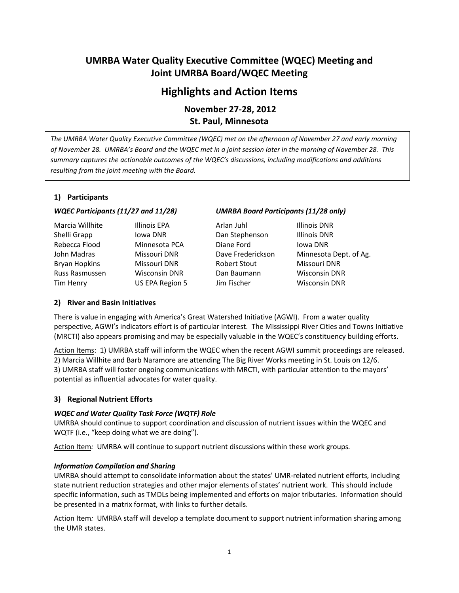# **UMRBA Water Quality Executive Committee (WQEC) Meeting and Joint UMRBA Board/WQEC Meeting**

# **Highlights and Action Items**

**November 27-28, 2012 St. Paul, Minnesota** 

*The UMRBA Water Quality Executive Committee (WQEC) met on the afternoon of November 27 and early morning of November 28. UMRBA's Board and the WQEC met in a joint session later in the morning of November 28. This summary captures the actionable outcomes of the WQEC's discussions, including modifications and additions resulting from the joint meeting with the Board.* 

# **1) Participants**

| Marcia Willhite      | Illin |
|----------------------|-------|
| Shelli Grapp         | low   |
| Rebecca Flood        | Min   |
| John Madras          | Mis.  |
| <b>Bryan Hopkins</b> | Mis.  |
| Russ Rasmussen       | Wis   |
| Tim Henry            | US I  |

# *WQEC Participants (11/27 and 11/28) UMRBA Board Participants (11/28 only)*

ois EPA **Arlan Juhl** Illinois DNR a DNR **Dan Stephenson** Illinois DNR nesota PCA **Diane Ford** Iowa DNR souri DNR Dave Frederickson Minnesota Dept. of Ag. souri DNR **Robert Stout** Missouri DNR Russ Rasmussen Wisconsin DNR Dan Baumann Wisconsin DNR EPA Region 5 Jim Fischer Wisconsin DNR

# **2) River and Basin Initiatives**

There is value in engaging with America's Great Watershed Initiative (AGWI). From a water quality perspective, AGWI's indicators effort is of particular interest. The Mississippi River Cities and Towns Initiative (MRCTI) also appears promising and may be especially valuable in the WQEC's constituency building efforts.

Action Items: 1) UMRBA staff will inform the WQEC when the recent AGWI summit proceedings are released. 2) Marcia Willhite and Barb Naramore are attending The Big River Works meeting in St. Louis on 12/6. 3) UMRBA staff will foster ongoing communications with MRCTI, with particular attention to the mayors' potential as influential advocates for water quality.

# **3) Regional Nutrient Efforts**

# *WQEC and Water Quality Task Force (WQTF) Role*

UMRBA should continue to support coordination and discussion of nutrient issues within the WQEC and WQTF (i.e., "keep doing what we are doing").

Action Item*:* UMRBA will continue to support nutrient discussions within these work groups*.* 

# *Information Compilation and Sharing*

UMRBA should attempt to consolidate information about the states' UMR-related nutrient efforts, including state nutrient reduction strategies and other major elements of states' nutrient work. This should include specific information, such as TMDLs being implemented and efforts on major tributaries. Information should be presented in a matrix format, with links to further details.

Action Item*:* UMRBA staff will develop a template document to support nutrient information sharing among the UMR states.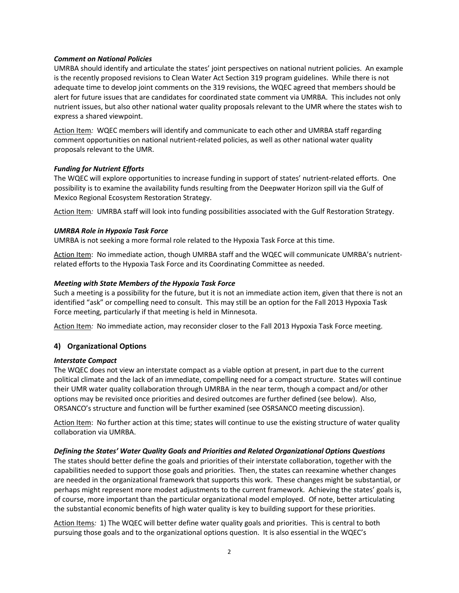### *Comment on National Policies*

UMRBA should identify and articulate the states' joint perspectives on national nutrient policies. An example is the recently proposed revisions to Clean Water Act Section 319 program guidelines. While there is not adequate time to develop joint comments on the 319 revisions, the WQEC agreed that members should be alert for future issues that are candidates for coordinated state comment via UMRBA. This includes not only nutrient issues, but also other national water quality proposals relevant to the UMR where the states wish to express a shared viewpoint.

Action Item*:* WQEC members will identify and communicate to each other and UMRBA staff regarding comment opportunities on national nutrient-related policies, as well as other national water quality proposals relevant to the UMR.

# *Funding for Nutrient Efforts*

The WQEC will explore opportunities to increase funding in support of states' nutrient-related efforts. One possibility is to examine the availability funds resulting from the Deepwater Horizon spill via the Gulf of Mexico Regional Ecosystem Restoration Strategy.

Action Item*:* UMRBA staff will look into funding possibilities associated with the Gulf Restoration Strategy.

### *UMRBA Role in Hypoxia Task Force*

UMRBA is not seeking a more formal role related to the Hypoxia Task Force at this time.

Action Item:No immediate action, though UMRBA staff and the WQEC will communicate UMRBA's nutrientrelated efforts to the Hypoxia Task Force and its Coordinating Committee as needed.

### *Meeting with State Members of the Hypoxia Task Force*

Such a meeting is a possibility for the future, but it is not an immediate action item, given that there is not an identified "ask" or compelling need to consult. This may still be an option for the Fall 2013 Hypoxia Task Force meeting, particularly if that meeting is held in Minnesota.

Action Item*:*No immediate action, may reconsider closer to the Fall 2013 Hypoxia Task Force meeting.

# **4) Organizational Options**

#### *Interstate Compact*

The WQEC does not view an interstate compact as a viable option at present, in part due to the current political climate and the lack of an immediate, compelling need for a compact structure. States will continue their UMR water quality collaboration through UMRBA in the near term, though a compact and/or other options may be revisited once priorities and desired outcomes are further defined (see below). Also, ORSANCO's structure and function will be further examined (see OSRSANCO meeting discussion).

Action Item: No further action at this time; states will continue to use the existing structure of water quality collaboration via UMRBA.

# *Defining the States' Water Quality Goals and Priorities and Related Organizational Options Questions*

The states should better define the goals and priorities of their interstate collaboration, together with the capabilities needed to support those goals and priorities. Then, the states can reexamine whether changes are needed in the organizational framework that supports this work. These changes might be substantial, or perhaps might represent more modest adjustments to the current framework. Achieving the states' goals is, of course, more important than the particular organizational model employed. Of note, better articulating the substantial economic benefits of high water quality is key to building support for these priorities.

Action Items*:* 1) The WQEC will better define water quality goals and priorities. This is central to both pursuing those goals and to the organizational options question. It is also essential in the WQEC's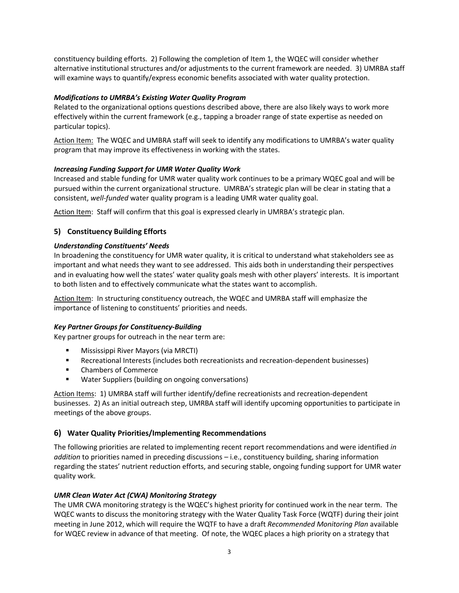constituency building efforts. 2) Following the completion of Item 1, the WQEC will consider whether alternative institutional structures and/or adjustments to the current framework are needed. 3) UMRBA staff will examine ways to quantify/express economic benefits associated with water quality protection.

## *Modifications to UMRBA's Existing Water Quality Program*

Related to the organizational options questions described above, there are also likely ways to work more effectively within the current framework (e.g., tapping a broader range of state expertise as needed on particular topics).

Action Item: The WQEC and UMBRA staff will seek to identify any modifications to UMRBA's water quality program that may improve its effectiveness in working with the states.

### *Increasing Funding Support for UMR Water Quality Work*

Increased and stable funding for UMR water quality work continues to be a primary WQEC goal and will be pursued within the current organizational structure. UMRBA's strategic plan will be clear in stating that a consistent, *well-funded* water quality program is a leading UMR water quality goal.

Action Item: Staff will confirm that this goal is expressed clearly in UMRBA's strategic plan.

# **5) Constituency Building Efforts**

### *Understanding Constituents' Needs*

In broadening the constituency for UMR water quality, it is critical to understand what stakeholders see as important and what needs they want to see addressed. This aids both in understanding their perspectives and in evaluating how well the states' water quality goals mesh with other players' interests. It is important to both listen and to effectively communicate what the states want to accomplish.

Action Item: In structuring constituency outreach, the WQEC and UMRBA staff will emphasize the importance of listening to constituents' priorities and needs.

#### *Key Partner Groups for Constituency-Building*

Key partner groups for outreach in the near term are:

- **Mississippi River Mayors (via MRCTI)**
- Recreational Interests (includes both recreationists and recreation-dependent businesses)
- **EXEC** Chambers of Commerce
- Water Suppliers (building on ongoing conversations)

Action Items: 1) UMRBA staff will further identify/define recreationists and recreation-dependent businesses. 2) As an initial outreach step, UMRBA staff will identify upcoming opportunities to participate in meetings of the above groups.

# **6) Water Quality Priorities/Implementing Recommendations**

The following priorities are related to implementing recent report recommendations and were identified *in addition* to priorities named in preceding discussions – i.e., constituency building, sharing information regarding the states' nutrient reduction efforts, and securing stable, ongoing funding support for UMR water quality work.

#### *UMR Clean Water Act (CWA) Monitoring Strategy*

The UMR CWA monitoring strategy is the WQEC's highest priority for continued work in the near term. The WQEC wants to discuss the monitoring strategy with the Water Quality Task Force (WQTF) during their joint meeting in June 2012, which will require the WQTF to have a draft *Recommended Monitoring Plan* available for WQEC review in advance of that meeting. Of note, the WQEC places a high priority on a strategy that